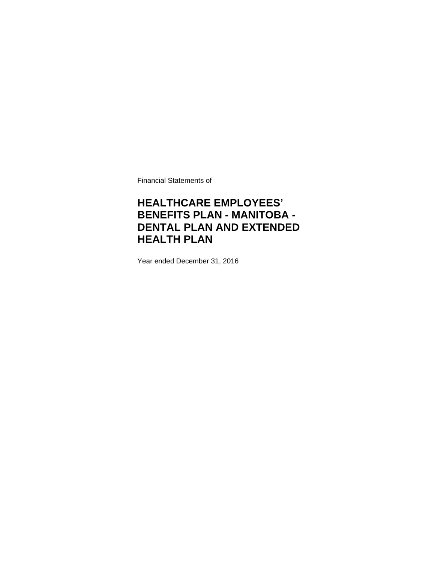Financial Statements of

# **HEALTHCARE EMPLOYEES' BENEFITS PLAN - MANITOBA - DENTAL PLAN AND EXTENDED HEALTH PLAN**

Year ended December 31, 2016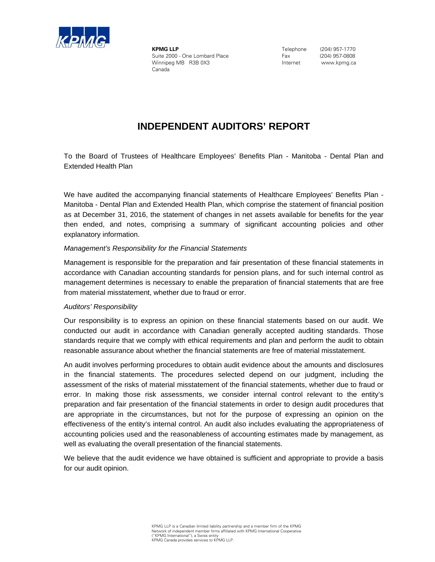

**KPMG LLP** Suite 2000 - One Lombard Place Winnipeg MB R3B 0X3 Canada

 Telephone (204) 957-1770 Fax (204) 957-0808 Internet www.kpmg.ca

# **INDEPENDENT AUDITORS' REPORT**

Extended Health Plan To the Board of Trustees of Healthcare Employees' Benefits Plan - Manitoba - Dental Plan and

We have audited the accompanying financial statements of Healthcare Employees' Benefits Plan -Manitoba - Dental Plan and Extended Health Plan, which comprise the statement of financial position as at December 31, 2016, the statement of changes in net assets available for benefits for the year then ended, and notes, comprising a summary of significant accounting policies and other explanatory information.

## *Management's Responsibility for the Financial Statements*

Management is responsible for the preparation and fair presentation of these financial statements in accordance with Canadian accounting standards for pension plans, and for such internal control as management determines is necessary to enable the preparation of financial statements that are free from material misstatement, whether due to fraud or error.

#### *Auditors' Responsibility*

Our responsibility is to express an opinion on these financial statements based on our audit. We conducted our audit in accordance with Canadian generally accepted auditing standards. Those standards require that we comply with ethical requirements and plan and perform the audit to obtain reasonable assurance about whether the financial statements are free of material misstatement.

An audit involves performing procedures to obtain audit evidence about the amounts and disclosures in the financial statements. The procedures selected depend on our judgment, including the assessment of the risks of material misstatement of the financial statements, whether due to fraud or error. In making those risk assessments, we consider internal control relevant to the entity's preparation and fair presentation of the financial statements in order to design audit procedures that are appropriate in the circumstances, but not for the purpose of expressing an opinion on the effectiveness of the entity's internal control. An audit also includes evaluating the appropriateness of accounting policies used and the reasonableness of accounting estimates made by management, as well as evaluating the overall presentation of the financial statements.

We believe that the audit evidence we have obtained is sufficient and appropriate to provide a basis for our audit opinion.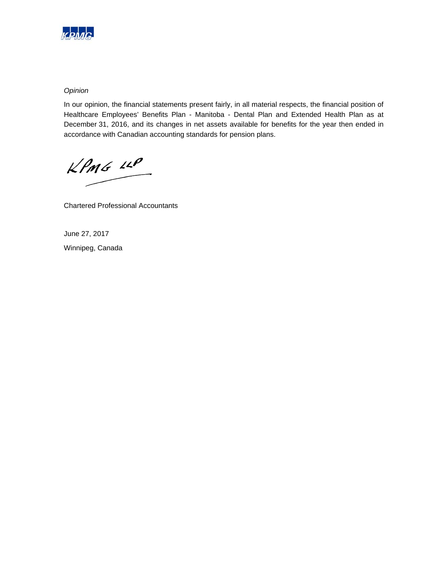

## *Opinion*

In our opinion, the financial statements present fairly, in all material respects, the financial position of Healthcare Employees' Benefits Plan - Manitoba - Dental Plan and Extended Health Plan as at December 31, 2016, and its changes in net assets available for benefits for the year then ended in accordance with Canadian accounting standards for pension plans.

 $KPMG$  12P

Chartered Professional Accountants

June 27, 2017 Winnipeg, Canada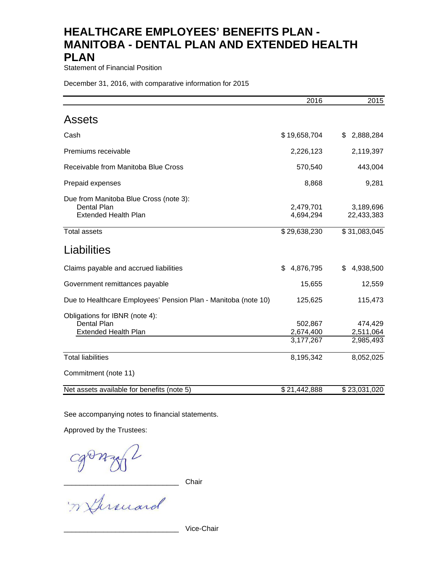Statement of Financial Position

December 31, 2016, with comparative information for 2015

|                                                                                      | 2016                              | 2015                              |
|--------------------------------------------------------------------------------------|-----------------------------------|-----------------------------------|
| <b>Assets</b>                                                                        |                                   |                                   |
| Cash                                                                                 | \$19,658,704                      | 2,888,284<br>\$                   |
| Premiums receivable                                                                  | 2,226,123                         | 2,119,397                         |
| Receivable from Manitoba Blue Cross                                                  | 570,540                           | 443,004                           |
| Prepaid expenses                                                                     | 8,868                             | 9,281                             |
| Due from Manitoba Blue Cross (note 3):<br>Dental Plan<br><b>Extended Health Plan</b> | 2,479,701<br>4,694,294            | 3,189,696<br>22,433,383           |
| <b>Total assets</b>                                                                  | \$29,638,230                      | \$31,083,045                      |
| Liabilities                                                                          |                                   |                                   |
| Claims payable and accrued liabilities                                               | 4,876,795<br>\$                   | 4,938,500<br>\$                   |
| Government remittances payable                                                       | 15,655                            | 12,559                            |
| Due to Healthcare Employees' Pension Plan - Manitoba (note 10)                       | 125,625                           | 115,473                           |
| Obligations for IBNR (note 4):<br>Dental Plan<br><b>Extended Health Plan</b>         | 502,867<br>2,674,400<br>3,177,267 | 474,429<br>2,511,064<br>2,985,493 |
| <b>Total liabilities</b>                                                             | 8,195,342                         | 8,052,025                         |
| Commitment (note 11)                                                                 |                                   |                                   |
| Net assets available for benefits (note 5)                                           | \$21,442,888                      | \$23,031,020                      |

See accompanying notes to financial statements.

Approved by the Trustees:

gonzal<br>mitures

\_\_\_\_\_\_\_\_\_\_\_\_\_\_\_\_\_\_\_\_\_\_\_\_\_\_\_\_\_ Vice-Chair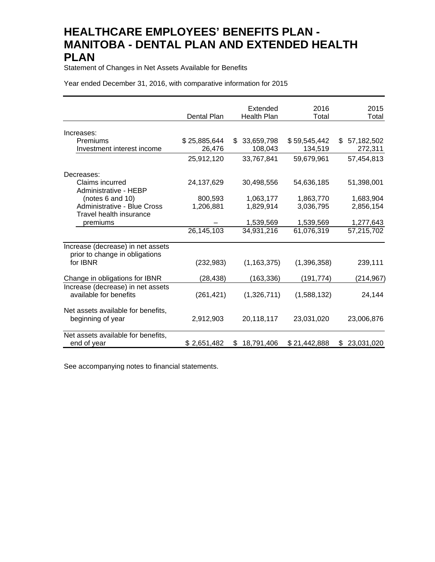Statement of Changes in Net Assets Available for Benefits

Year ended December 31, 2016, with comparative information for 2015

|                                                                     | Dental Plan            | Extended<br><b>Health Plan</b> | 2016<br>Total           | 2015<br>Total                 |
|---------------------------------------------------------------------|------------------------|--------------------------------|-------------------------|-------------------------------|
| Increases:                                                          |                        |                                |                         |                               |
| Premiums<br>Investment interest income                              | \$25,885,644<br>26,476 | 33,659,798<br>\$<br>108,043    | \$59,545,442<br>134,519 | 57, 182, 502<br>\$<br>272,311 |
|                                                                     | 25,912,120             | 33,767,841                     | 59,679,961              | 57,454,813                    |
| Decreases:                                                          |                        |                                |                         |                               |
| Claims incurred<br>Administrative - HEBP                            | 24,137,629             | 30,498,556                     | 54,636,185              | 51,398,001                    |
| (notes 6 and 10)                                                    | 800,593                | 1,063,177                      | 1,863,770               | 1,683,904                     |
| <b>Administrative - Blue Cross</b><br>Travel health insurance       | 1,206,881              | 1,829,914                      | 3,036,795               | 2,856,154                     |
| premiums                                                            |                        | 1,539,569                      | 1,539,569               | 1,277,643                     |
|                                                                     | 26,145,103             | 34,931,216                     | 61,076,319              | 57,215,702                    |
| Increase (decrease) in net assets<br>prior to change in obligations |                        |                                |                         |                               |
| for IBNR                                                            | (232, 983)             | (1, 163, 375)                  | (1,396,358)             | 239,111                       |
| Change in obligations for IBNR                                      | (28, 438)              | (163, 336)                     | (191, 774)              | (214,967)                     |
| Increase (decrease) in net assets<br>available for benefits         | (261, 421)             | (1,326,711)                    | (1,588,132)             | 24,144                        |
| Net assets available for benefits,<br>beginning of year             | 2,912,903              | 20,118,117                     | 23,031,020              | 23,006,876                    |
| Net assets available for benefits,<br>end of year                   | \$2,651,482            | 18,791,406<br>\$.              | \$21,442,888            | 23,031,020<br>\$              |

See accompanying notes to financial statements.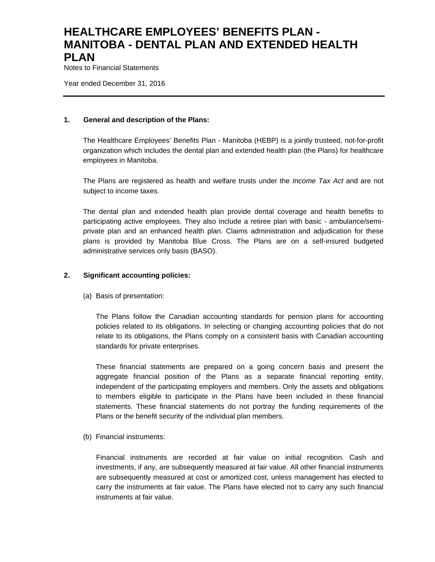Notes to Financial Statements

Year ended December 31, 2016

#### **1. General and description of the Plans:**

The Healthcare Employees' Benefits Plan - Manitoba (HEBP) is a jointly trusteed, not-for-profit organization which includes the dental plan and extended health plan (the Plans) for healthcare employees in Manitoba.

The Plans are registered as health and welfare trusts under the *Income Tax Act* and are not subject to income taxes*.*

The dental plan and extended health plan provide dental coverage and health benefits to participating active employees. They also include a retiree plan with basic - ambulance/semiprivate plan and an enhanced health plan. Claims administration and adjudication for these plans is provided by Manitoba Blue Cross. The Plans are on a self-insured budgeted administrative services only basis (BASO).

#### **2. Significant accounting policies:**

(a) Basis of presentation:

The Plans follow the Canadian accounting standards for pension plans for accounting policies related to its obligations. In selecting or changing accounting policies that do not relate to its obligations, the Plans comply on a consistent basis with Canadian accounting standards for private enterprises.

These financial statements are prepared on a going concern basis and present the aggregate financial position of the Plans as a separate financial reporting entity, independent of the participating employers and members. Only the assets and obligations to members eligible to participate in the Plans have been included in these financial statements. These financial statements do not portray the funding requirements of the Plans or the benefit security of the individual plan members.

(b) Financial instruments:

Financial instruments are recorded at fair value on initial recognition. Cash and investments, if any, are subsequently measured at fair value. All other financial instruments are subsequently measured at cost or amortized cost, unless management has elected to carry the instruments at fair value. The Plans have elected not to carry any such financial instruments at fair value.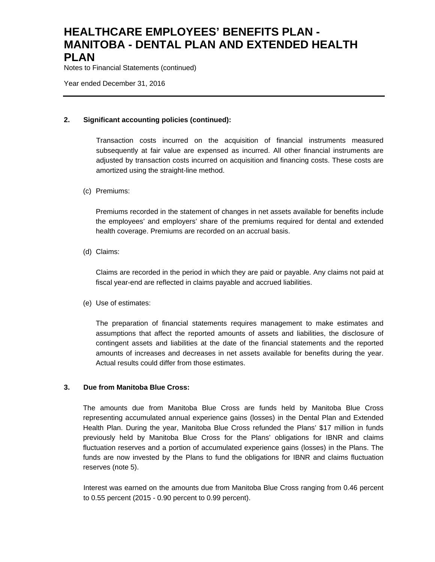Notes to Financial Statements (continued)

Year ended December 31, 2016

## **2. Significant accounting policies (continued):**

Transaction costs incurred on the acquisition of financial instruments measured subsequently at fair value are expensed as incurred. All other financial instruments are adjusted by transaction costs incurred on acquisition and financing costs. These costs are amortized using the straight-line method.

#### (c) Premiums:

Premiums recorded in the statement of changes in net assets available for benefits include the employees' and employers' share of the premiums required for dental and extended health coverage. Premiums are recorded on an accrual basis.

(d) Claims:

Claims are recorded in the period in which they are paid or payable. Any claims not paid at fiscal year-end are reflected in claims payable and accrued liabilities.

(e) Use of estimates:

The preparation of financial statements requires management to make estimates and assumptions that affect the reported amounts of assets and liabilities, the disclosure of contingent assets and liabilities at the date of the financial statements and the reported amounts of increases and decreases in net assets available for benefits during the year. Actual results could differ from those estimates.

#### **3. Due from Manitoba Blue Cross:**

The amounts due from Manitoba Blue Cross are funds held by Manitoba Blue Cross representing accumulated annual experience gains (losses) in the Dental Plan and Extended Health Plan. During the year, Manitoba Blue Cross refunded the Plans' \$17 million in funds previously held by Manitoba Blue Cross for the Plans' obligations for IBNR and claims fluctuation reserves and a portion of accumulated experience gains (losses) in the Plans. The funds are now invested by the Plans to fund the obligations for IBNR and claims fluctuation reserves (note 5).

Interest was earned on the amounts due from Manitoba Blue Cross ranging from 0.46 percent to 0.55 percent (2015 - 0.90 percent to 0.99 percent).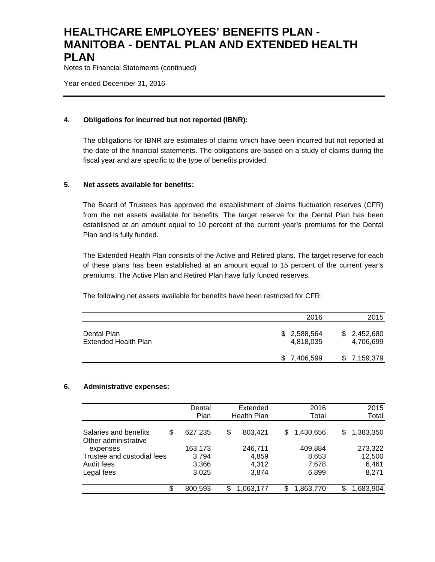Notes to Financial Statements (continued)

Year ended December 31, 2016

### **4. Obligations for incurred but not reported (IBNR):**

The obligations for IBNR are estimates of claims which have been incurred but not reported at the date of the financial statements. The obligations are based on a study of claims during the fiscal year and are specific to the type of benefits provided.

### **5. Net assets available for benefits:**

The Board of Trustees has approved the establishment of claims fluctuation reserves (CFR) from the net assets available for benefits. The target reserve for the Dental Plan has been established at an amount equal to 10 percent of the current year's premiums for the Dental Plan and is fully funded.

The Extended Health Plan consists of the Active and Retired plans. The target reserve for each of these plans has been established at an amount equal to 15 percent of the current year's premiums. The Active Plan and Retired Plan have fully funded reserves.

The following net assets available for benefits have been restricted for CFR:

|                                     | 2016                     | 2015                     |
|-------------------------------------|--------------------------|--------------------------|
| Dental Plan<br>Extended Health Plan | \$2,588,564<br>4,818,035 | \$2,452,680<br>4,706,699 |
|                                     | \$7,406,599              | 7,159,379                |

#### **6. Administrative expenses:**

|                                                     | Dental<br>Plan | Extended<br>Health Plan | 2016<br>Total    | 2015<br>Total   |
|-----------------------------------------------------|----------------|-------------------------|------------------|-----------------|
| \$<br>Salaries and benefits<br>Other administrative | 627,235        | \$<br>803,421           | 1,430,656<br>S   | 1,383,350<br>S  |
| expenses                                            | 163,173        | 246,711                 | 409,884          | 273,322         |
| Trustee and custodial fees                          | 3.794          | 4,859                   | 8,653            | 12,500          |
| Audit fees                                          | 3,366          | 4.312                   | 7.678            | 6,461           |
| Legal fees                                          | 3,025          | 3,874                   | 6,899            | 8,271           |
| \$                                                  | 800,593        | \$<br>1,063,177         | \$.<br>1,863,770 | 1,683,904<br>S. |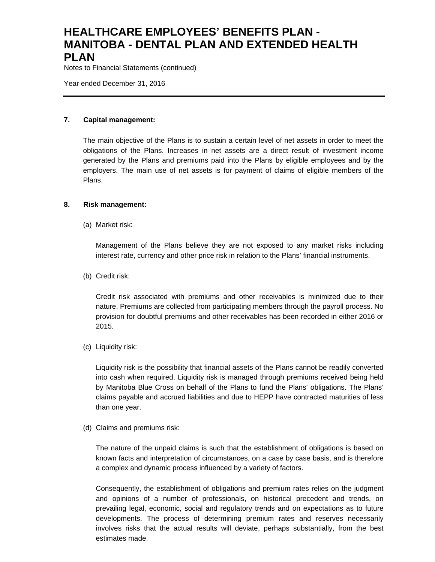Notes to Financial Statements (continued)

Year ended December 31, 2016

## **7. Capital management:**

The main objective of the Plans is to sustain a certain level of net assets in order to meet the obligations of the Plans. Increases in net assets are a direct result of investment income generated by the Plans and premiums paid into the Plans by eligible employees and by the employers. The main use of net assets is for payment of claims of eligible members of the Plans.

#### **8. Risk management:**

(a) Market risk:

Management of the Plans believe they are not exposed to any market risks including interest rate, currency and other price risk in relation to the Plans' financial instruments.

(b) Credit risk:

Credit risk associated with premiums and other receivables is minimized due to their nature. Premiums are collected from participating members through the payroll process. No provision for doubtful premiums and other receivables has been recorded in either 2016 or 2015.

(c) Liquidity risk:

Liquidity risk is the possibility that financial assets of the Plans cannot be readily converted into cash when required. Liquidity risk is managed through premiums received being held by Manitoba Blue Cross on behalf of the Plans to fund the Plans' obligations. The Plans' claims payable and accrued liabilities and due to HEPP have contracted maturities of less than one year.

(d) Claims and premiums risk:

The nature of the unpaid claims is such that the establishment of obligations is based on known facts and interpretation of circumstances, on a case by case basis, and is therefore a complex and dynamic process influenced by a variety of factors.

Consequently, the establishment of obligations and premium rates relies on the judgment and opinions of a number of professionals, on historical precedent and trends, on prevailing legal, economic, social and regulatory trends and on expectations as to future developments. The process of determining premium rates and reserves necessarily involves risks that the actual results will deviate, perhaps substantially, from the best estimates made.